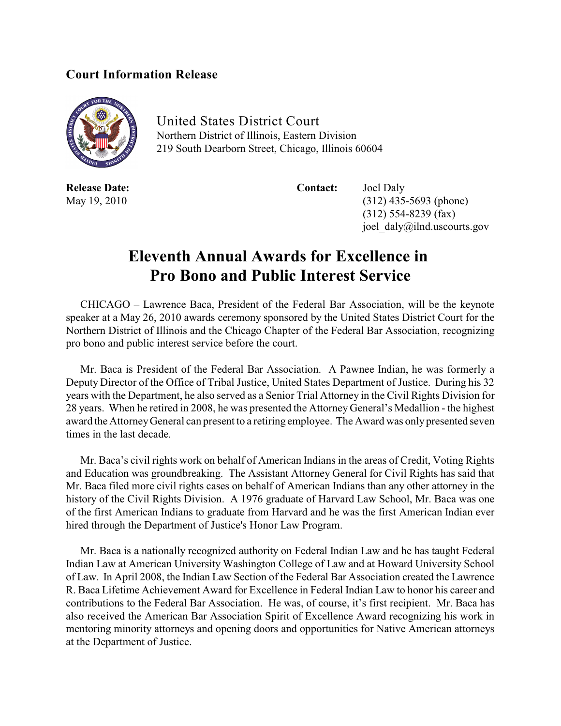## **Court Information Release**



United States District Court Northern District of Illinois, Eastern Division 219 South Dearborn Street, Chicago, Illinois 60604

**Release Date: Contact:** Joel Daly May 19, 2010 (312) 435-5693 (phone) (312) 554-8239 (fax) joel\_daly@ilnd.uscourts.gov

## **Eleventh Annual Awards for Excellence in Pro Bono and Public Interest Service**

CHICAGO – Lawrence Baca, President of the Federal Bar Association, will be the keynote speaker at a May 26, 2010 awards ceremony sponsored by the United States District Court for the Northern District of Illinois and the Chicago Chapter of the Federal Bar Association, recognizing pro bono and public interest service before the court.

Mr. Baca is President of the Federal Bar Association. A Pawnee Indian, he was formerly a Deputy Director of the Office of Tribal Justice, United States Department of Justice. During his 32 years with the Department, he also served as a Senior Trial Attorney in the Civil Rights Division for 28 years. When he retired in 2008, he was presented the Attorney General's Medallion - the highest award the AttorneyGeneral can present to a retiring employee. The Award was onlypresented seven times in the last decade.

Mr. Baca's civil rights work on behalf of American Indians in the areas of Credit, Voting Rights and Education was groundbreaking. The Assistant Attorney General for Civil Rights has said that Mr. Baca filed more civil rights cases on behalf of American Indians than any other attorney in the history of the Civil Rights Division. A 1976 graduate of Harvard Law School, Mr. Baca was one of the first American Indians to graduate from Harvard and he was the first American Indian ever hired through the Department of Justice's Honor Law Program.

Mr. Baca is a nationally recognized authority on Federal Indian Law and he has taught Federal Indian Law at American University Washington College of Law and at Howard University School of Law. In April 2008, the Indian Law Section of the Federal Bar Association created the Lawrence R. Baca Lifetime Achievement Award for Excellence in Federal Indian Law to honor his career and contributions to the Federal Bar Association. He was, of course, it's first recipient. Mr. Baca has also received the American Bar Association Spirit of Excellence Award recognizing his work in mentoring minority attorneys and opening doors and opportunities for Native American attorneys at the Department of Justice.